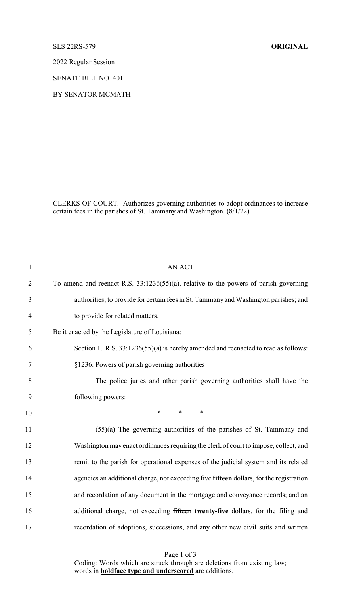SLS 22RS-579 **ORIGINAL**

2022 Regular Session

SENATE BILL NO. 401

BY SENATOR MCMATH

CLERKS OF COURT. Authorizes governing authorities to adopt ordinances to increase certain fees in the parishes of St. Tammany and Washington. (8/1/22)

| $\mathbf{1}$   | <b>AN ACT</b>                                                                           |
|----------------|-----------------------------------------------------------------------------------------|
| $\overline{2}$ | To amend and reenact R.S. 33:1236(55)(a), relative to the powers of parish governing    |
| 3              | authorities; to provide for certain fees in St. Tammany and Washington parishes; and    |
| $\overline{4}$ | to provide for related matters.                                                         |
| 5              | Be it enacted by the Legislature of Louisiana:                                          |
| 6              | Section 1. R.S. 33:1236(55)(a) is hereby amended and reenacted to read as follows:      |
| 7              | §1236. Powers of parish governing authorities                                           |
| 8              | The police juries and other parish governing authorities shall have the                 |
| 9              | following powers:                                                                       |
| 10             | $\ast$<br>$\ast$<br>$\ast$                                                              |
| 11             | $(55)(a)$ The governing authorities of the parishes of St. Tammany and                  |
| 12             | Washington may enact ordinances requiring the clerk of court to impose, collect, and    |
| 13             | remit to the parish for operational expenses of the judicial system and its related     |
| 14             | agencies an additional charge, not exceeding five fifteen dollars, for the registration |
| 15             | and recordation of any document in the mortgage and conveyance records; and an          |
| 16             | additional charge, not exceeding fifteen twenty-five dollars, for the filing and        |
| 17             | recordation of adoptions, successions, and any other new civil suits and written        |

Page 1 of 3 Coding: Words which are struck through are deletions from existing law; words in **boldface type and underscored** are additions.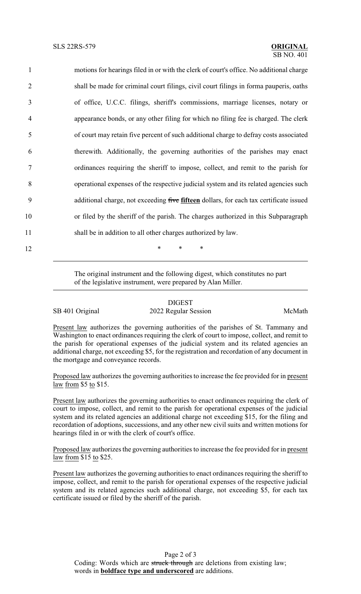motions for hearings filed in or with the clerk of court's office. No additional charge shall be made for criminal court filings, civil court filings in forma pauperis, oaths of office, U.C.C. filings, sheriff's commissions, marriage licenses, notary or appearance bonds, or any other filing for which no filing fee is charged. The clerk of court may retain five percent of such additional charge to defray costs associated therewith. Additionally, the governing authorities of the parishes may enact ordinances requiring the sheriff to impose, collect, and remit to the parish for operational expenses of the respective judicial system and its related agencies such additional charge, not exceeding five **fifteen** dollars, for each tax certificate issued or filed by the sheriff of the parish. The charges authorized in this Subparagraph shall be in addition to all other charges authorized by law. 12 **\*** \* \* \*

> The original instrument and the following digest, which constitutes no part of the legislative instrument, were prepared by Alan Miller.

## DIGEST

SB 401 Original 2022 Regular Session McMath

Present law authorizes the governing authorities of the parishes of St. Tammany and Washington to enact ordinances requiring the clerk of court to impose, collect, and remit to the parish for operational expenses of the judicial system and its related agencies an additional charge, not exceeding \$5, for the registration and recordation of any document in the mortgage and conveyance records.

Proposed law authorizes the governing authorities to increase the fee provided for in present law from \$5 to \$15.

Present law authorizes the governing authorities to enact ordinances requiring the clerk of court to impose, collect, and remit to the parish for operational expenses of the judicial system and its related agencies an additional charge not exceeding \$15, for the filing and recordation of adoptions, successions, and any other new civil suits and written motions for hearings filed in or with the clerk of court's office.

Proposed law authorizes the governing authorities to increase the fee provided for in present law from \$15 to \$25.

Present law authorizes the governing authorities to enact ordinances requiring the sheriff to impose, collect, and remit to the parish for operational expenses of the respective judicial system and its related agencies such additional charge, not exceeding \$5, for each tax certificate issued or filed by the sheriff of the parish.